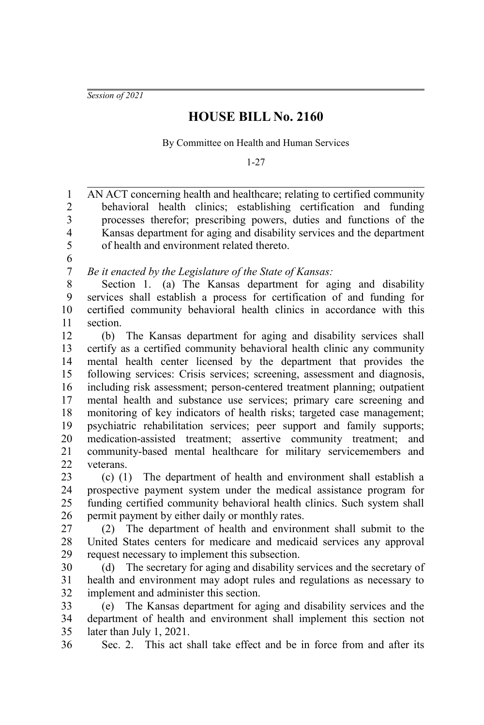*Session of 2021*

## **HOUSE BILL No. 2160**

By Committee on Health and Human Services

1-27

AN ACT concerning health and healthcare; relating to certified community behavioral health clinics; establishing certification and funding processes therefor; prescribing powers, duties and functions of the Kansas department for aging and disability services and the department of health and environment related thereto. *Be it enacted by the Legislature of the State of Kansas:* Section 1. (a) The Kansas department for aging and disability services shall establish a process for certification of and funding for certified community behavioral health clinics in accordance with this section. (b) The Kansas department for aging and disability services shall certify as a certified community behavioral health clinic any community mental health center licensed by the department that provides the following services: Crisis services; screening, assessment and diagnosis, including risk assessment; person-centered treatment planning; outpatient mental health and substance use services; primary care screening and monitoring of key indicators of health risks; targeted case management; psychiatric rehabilitation services; peer support and family supports; medication-assisted treatment; assertive community treatment; and community-based mental healthcare for military servicemembers and veterans. (c) (1) The department of health and environment shall establish a prospective payment system under the medical assistance program for funding certified community behavioral health clinics. Such system shall permit payment by either daily or monthly rates. (2) The department of health and environment shall submit to the United States centers for medicare and medicaid services any approval request necessary to implement this subsection. (d) The secretary for aging and disability services and the secretary of health and environment may adopt rules and regulations as necessary to implement and administer this section. (e) The Kansas department for aging and disability services and the department of health and environment shall implement this section not later than July 1, 2021. 1 2 3 4 5 6 7 8 9 10 11 12 13 14 15 16 17 18 19 20 21 22 23 24 25 26 27 28 29 30 31 32 33 34 35

Sec. 2. This act shall take effect and be in force from and after its 36